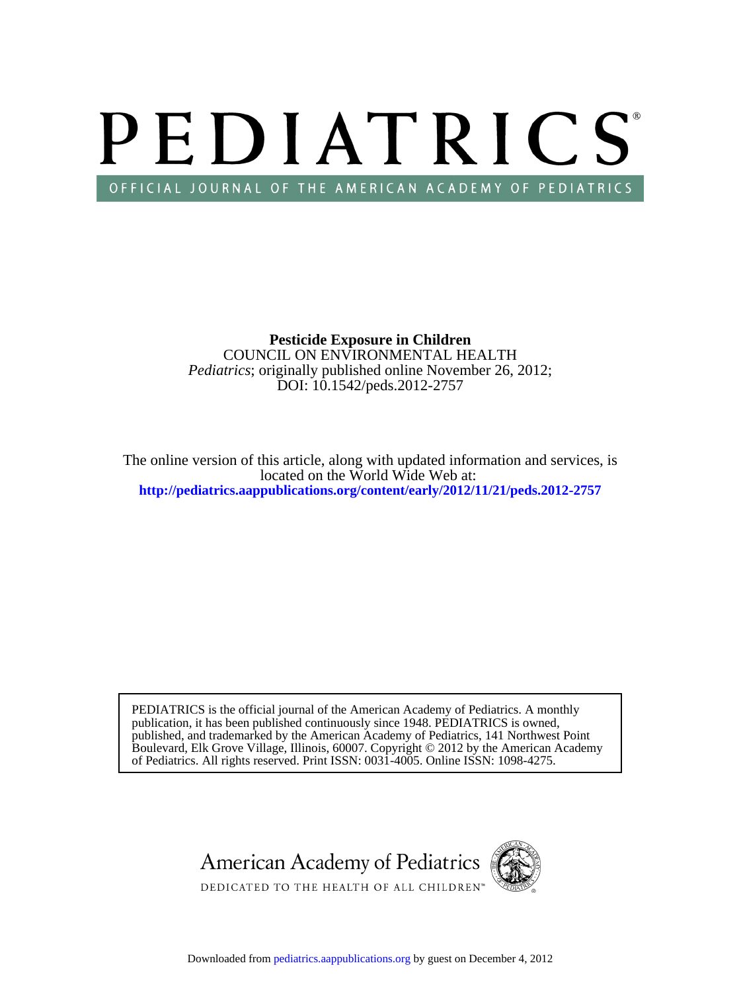# PEDIATRICS OFFICIAL JOURNAL OF THE AMERICAN ACADEMY OF PEDIATRICS

DOI: 10.1542/peds.2012-2757 *Pediatrics*; originally published online November 26, 2012; COUNCIL ON ENVIRONMENTAL HEALTH **Pesticide Exposure in Children**

**<http://pediatrics.aappublications.org/content/early/2012/11/21/peds.2012-2757>** located on the World Wide Web at: The online version of this article, along with updated information and services, is

of Pediatrics. All rights reserved. Print ISSN: 0031-4005. Online ISSN: 1098-4275. Boulevard, Elk Grove Village, Illinois, 60007. Copyright © 2012 by the American Academy published, and trademarked by the American Academy of Pediatrics, 141 Northwest Point publication, it has been published continuously since 1948. PEDIATRICS is owned, PEDIATRICS is the official journal of the American Academy of Pediatrics. A monthly

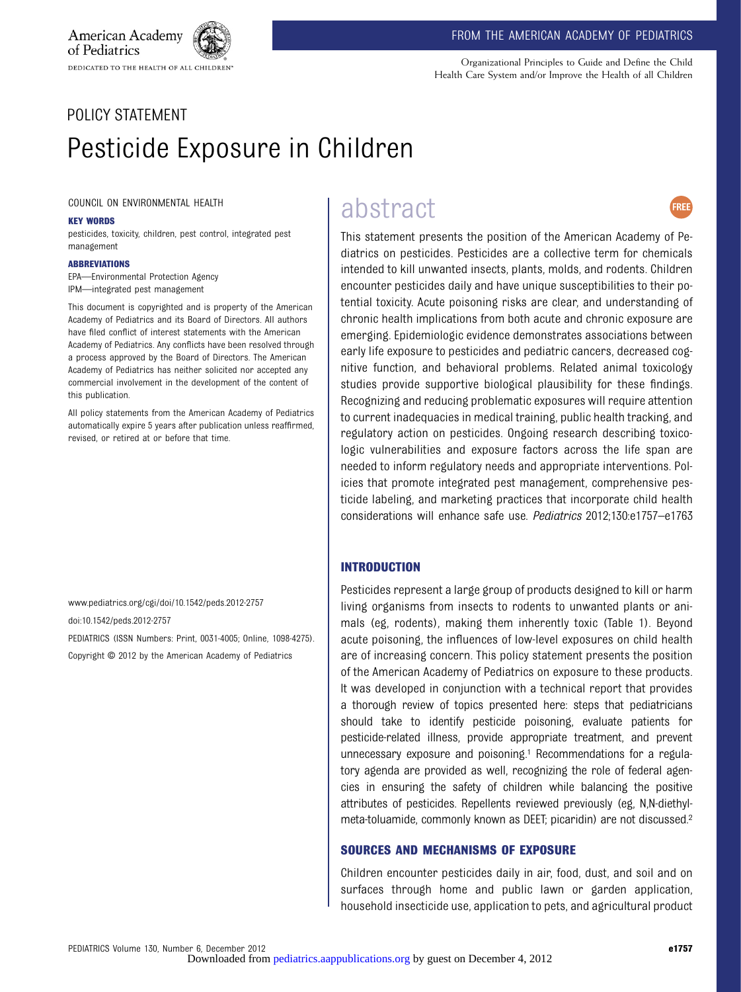FRFF

Organizational Principles to Guide and Define the Child Health Care System and/or Improve the Health of all Children

# POLICY STATEMENT

DEDICATED TO THE HEALTH OF ALL CHILDREN"

American Academy

of Pediatrics

# Pesticide Exposure in Children

COUNCIL ON ENVIRONMENTAL HEALTH

#### KEY WORDS

pesticides, toxicity, children, pest control, integrated pest management

#### ABBREVIATIONS

EPA—Environmental Protection Agency IPM—integrated pest management

This document is copyrighted and is property of the American Academy of Pediatrics and its Board of Directors. All authors have filed conflict of interest statements with the American Academy of Pediatrics. Any conflicts have been resolved through a process approved by the Board of Directors. The American Academy of Pediatrics has neither solicited nor accepted any commercial involvement in the development of the content of this publication.

All policy statements from the American Academy of Pediatrics automatically expire 5 years after publication unless reaffirmed, revised, or retired at or before that time.

www.pediatrics.org/cgi/doi/10.1542/peds.2012-2757 doi:10.1542/peds.2012-2757

PEDIATRICS (ISSN Numbers: Print, 0031-4005; Online, 1098-4275). Copyright © 2012 by the American Academy of Pediatrics

# abstract

This statement presents the position of the American Academy of Pediatrics on pesticides. Pesticides are a collective term for chemicals intended to kill unwanted insects, plants, molds, and rodents. Children encounter pesticides daily and have unique susceptibilities to their potential toxicity. Acute poisoning risks are clear, and understanding of chronic health implications from both acute and chronic exposure are emerging. Epidemiologic evidence demonstrates associations between early life exposure to pesticides and pediatric cancers, decreased cognitive function, and behavioral problems. Related animal toxicology studies provide supportive biological plausibility for these findings. Recognizing and reducing problematic exposures will require attention to current inadequacies in medical training, public health tracking, and regulatory action on pesticides. Ongoing research describing toxicologic vulnerabilities and exposure factors across the life span are needed to inform regulatory needs and appropriate interventions. Policies that promote integrated pest management, comprehensive pesticide labeling, and marketing practices that incorporate child health considerations will enhance safe use. Pediatrics 2012;130:e1757–e1763

# **INTRODUCTION**

Pesticides represent a large group of products designed to kill or harm living organisms from insects to rodents to unwanted plants or animals (eg, rodents), making them inherently toxic (Table 1). Beyond acute poisoning, the influences of low-level exposures on child health are of increasing concern. This policy statement presents the position of the American Academy of Pediatrics on exposure to these products. It was developed in conjunction with a technical report that provides a thorough review of topics presented here: steps that pediatricians should take to identify pesticide poisoning, evaluate patients for pesticide-related illness, provide appropriate treatment, and prevent unnecessary exposure and poisoning.<sup>1</sup> Recommendations for a regulatory agenda are provided as well, recognizing the role of federal agencies in ensuring the safety of children while balancing the positive attributes of pesticides. Repellents reviewed previously (eg, N,N-diethylmeta-toluamide, commonly known as DEET; picaridin) are not discussed.2

# SOURCES AND MECHANISMS OF EXPOSURE

Children encounter pesticides daily in air, food, dust, and soil and on surfaces through home and public lawn or garden application, household insecticide use, application to pets, and agricultural product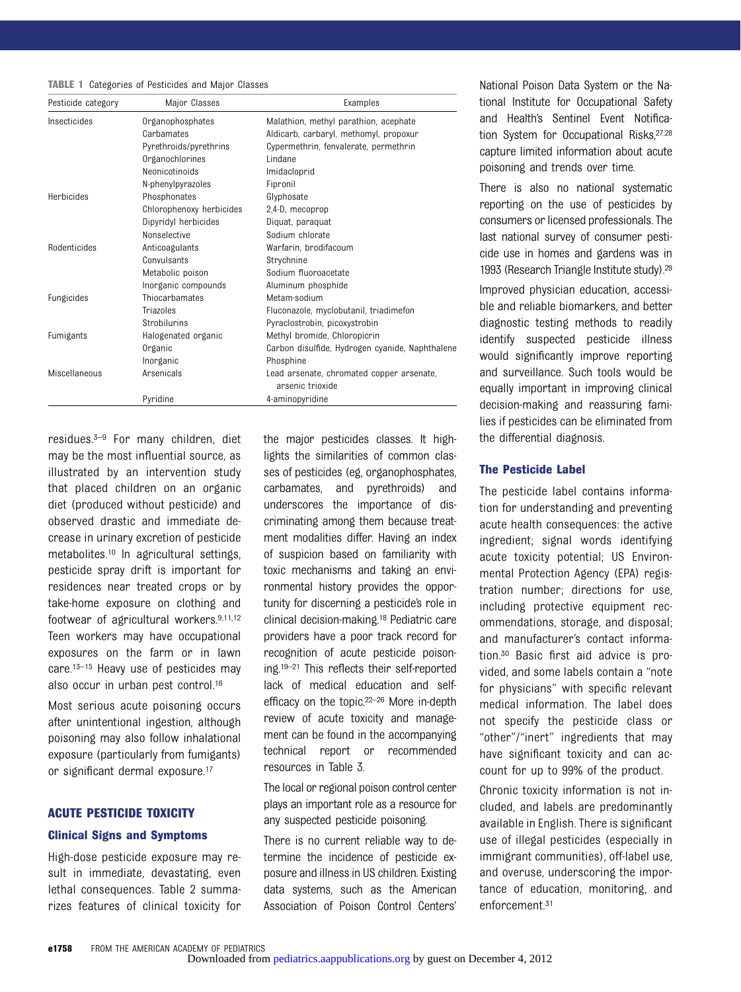|  |  | <b>TABLE 1</b> Categories of Pesticides and Major Classes |  |  |
|--|--|-----------------------------------------------------------|--|--|
|--|--|-----------------------------------------------------------|--|--|

| Pesticide category | Major Classes            | Examples                                                      |
|--------------------|--------------------------|---------------------------------------------------------------|
| Insecticides       | Organophosphates         | Malathion, methyl parathion, acephate                         |
|                    | Carbamates               | Aldicarb, carbaryl, methomyl, propoxur                        |
|                    | Pyrethroids/pyrethrins   | Cypermethrin, fenvalerate, permethrin                         |
|                    | Organochlorines          | Lindane                                                       |
|                    | Neonicotinoids           | Imidacloprid                                                  |
|                    | N-phenylpyrazoles        | Fipronil                                                      |
| Herbicides         | Phosphonates             | Glyphosate                                                    |
|                    | Chlorophenoxy herbicides | 2,4-D, mecoprop                                               |
|                    | Dipyridyl herbicides     | Diguat, paraguat                                              |
|                    | Nonselective             | Sodium chlorate                                               |
| Rodenticides       | Anticoagulants           | Warfarin, brodifacoum                                         |
|                    | Convulsants              | Strychnine                                                    |
|                    | Metabolic poison         | Sodium fluoroacetate                                          |
|                    | Inorganic compounds      | Aluminum phosphide                                            |
| Fungicides         | Thiocarbamates           | Metam-sodium                                                  |
|                    | Triazoles                | Fluconazole, myclobutanil, triadimefon                        |
|                    | Strobilurins             | Pyraclostrobin, picoxystrobin                                 |
| Fumigants          | Halogenated organic      | Methyl bromide, Chloropicrin                                  |
|                    | Organic                  | Carbon disulfide, Hydrogen cyanide, Naphthalene               |
|                    | Inorganic                | Phosphine                                                     |
| Miscellaneous      | Arsenicals               | Lead arsenate, chromated copper arsenate,<br>arsenic trioxide |
|                    | Pyridine                 | 4-aminopyridine                                               |

residues.3–<sup>9</sup> For many children, diet may be the most influential source, as illustrated by an intervention study that placed children on an organic diet (produced without pesticide) and observed drastic and immediate decrease in urinary excretion of pesticide metabolites.10 In agricultural settings, pesticide spray drift is important for residences near treated crops or by take-home exposure on clothing and footwear of agricultural workers.9,11,12 Teen workers may have occupational exposures on the farm or in lawn care.13–<sup>15</sup> Heavy use of pesticides may also occur in urban pest control.16

Most serious acute poisoning occurs after unintentional ingestion, although poisoning may also follow inhalational exposure (particularly from fumigants) or significant dermal exposure.17

## ACUTE PESTICIDE TOXICITY

#### Clinical Signs and Symptoms

High-dose pesticide exposure may result in immediate, devastating, even lethal consequences. Table 2 summarizes features of clinical toxicity for the major pesticides classes. It highlights the similarities of common classes of pesticides (eg, organophosphates, carbamates, and pyrethroids) and underscores the importance of discriminating among them because treatment modalities differ. Having an index of suspicion based on familiarity with toxic mechanisms and taking an environmental history provides the opportunity for discerning a pesticide's role in clinical decision-making.18 Pediatric care providers have a poor track record for recognition of acute pesticide poisoning.19–<sup>21</sup> This reflects their self-reported lack of medical education and selfefficacy on the topic.22–<sup>26</sup> More in-depth review of acute toxicity and management can be found in the accompanying technical report or recommended resources in Table 3.

The local or regional poison control center plays an important role as a resource for any suspected pesticide poisoning.

There is no current reliable way to determine the incidence of pesticide exposure and illness in US children. Existing data systems, such as the American Association of Poison Control Centers'

National Poison Data System or the National Institute for Occupational Safety and Health's Sentinel Event Notification System for Occupational Risks, 27,28 capture limited information about acute poisoning and trends over time.

There is also no national systematic reporting on the use of pesticides by consumers or licensed professionals. The last national survey of consumer pesticide use in homes and gardens was in 1993 (Research Triangle Institute study).29

Improved physician education, accessible and reliable biomarkers, and better diagnostic testing methods to readily identify suspected pesticide illness would significantly improve reporting and surveillance. Such tools would be equally important in improving clinical decision-making and reassuring families if pesticides can be eliminated from the differential diagnosis.

# The Pesticide Label

The pesticide label contains information for understanding and preventing acute health consequences: the active ingredient; signal words identifying acute toxicity potential; US Environmental Protection Agency (EPA) registration number; directions for use, including protective equipment recommendations, storage, and disposal; and manufacturer's contact information.30 Basic first aid advice is provided, and some labels contain a "note for physicians" with specific relevant medical information. The label does not specify the pesticide class or "other"/"inert" ingredients that may have significant toxicity and can account for up to 99% of the product.

Chronic toxicity information is not included, and labels are predominantly available in English. There is significant use of illegal pesticides (especially in immigrant communities), off-label use, and overuse, underscoring the importance of education, monitoring, and enforcement.31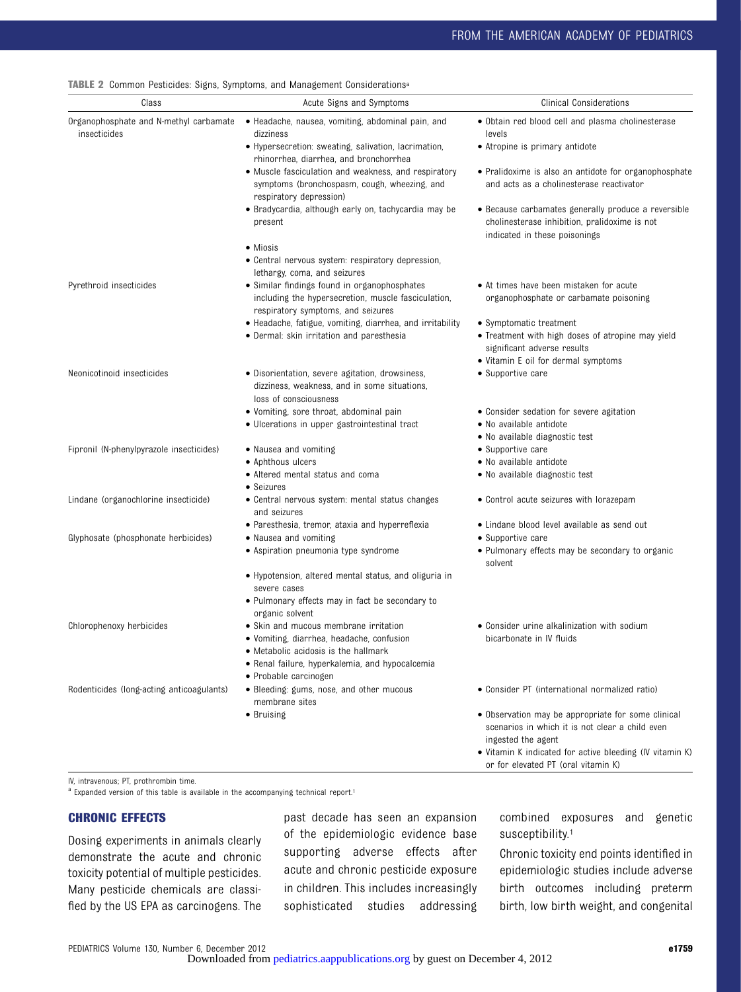|  |  |  |  |  |  |  | <b>TABLE 2</b> Common Pesticides: Signs, Symptoms, and Management Considerations <sup>a</sup> |
|--|--|--|--|--|--|--|-----------------------------------------------------------------------------------------------|
|--|--|--|--|--|--|--|-----------------------------------------------------------------------------------------------|

| Class                                                  | Acute Signs and Symptoms                                                                                                                  | <b>Clinical Considerations</b>                                                                                                        |
|--------------------------------------------------------|-------------------------------------------------------------------------------------------------------------------------------------------|---------------------------------------------------------------------------------------------------------------------------------------|
| Organophosphate and N-methyl carbamate<br>insecticides | • Headache, nausea, vomiting, abdominal pain, and<br>dizziness                                                                            | • Obtain red blood cell and plasma cholinesterase<br>levels                                                                           |
|                                                        | • Hypersecretion: sweating, salivation, lacrimation,<br>rhinorrhea, diarrhea, and bronchorrhea                                            | • Atropine is primary antidote                                                                                                        |
|                                                        | • Muscle fasciculation and weakness, and respiratory<br>symptoms (bronchospasm, cough, wheezing, and<br>respiratory depression)           | • Pralidoxime is also an antidote for organophosphate<br>and acts as a cholinesterase reactivator                                     |
|                                                        | • Bradycardia, although early on, tachycardia may be<br>present                                                                           | • Because carbamates generally produce a reversible<br>cholinesterase inhibition, pralidoxime is not<br>indicated in these poisonings |
|                                                        | • Miosis<br>• Central nervous system: respiratory depression,                                                                             |                                                                                                                                       |
|                                                        | lethargy, coma, and seizures                                                                                                              |                                                                                                                                       |
| Pyrethroid insecticides                                | • Similar findings found in organophosphates<br>including the hypersecretion, muscle fasciculation,<br>respiratory symptoms, and seizures | • At times have been mistaken for acute<br>organophosphate or carbamate poisoning                                                     |
|                                                        | • Headache, fatigue, vomiting, diarrhea, and irritability<br>• Dermal: skin irritation and paresthesia                                    | • Symptomatic treatment<br>• Treatment with high doses of atropine may yield<br>significant adverse results                           |
| Neonicotinoid insecticides                             | • Disorientation, severe agitation, drowsiness,<br>dizziness, weakness, and in some situations,<br>loss of consciousness                  | • Vitamin E oil for dermal symptoms<br>• Supportive care                                                                              |
|                                                        | • Vomiting, sore throat, abdominal pain                                                                                                   | • Consider sedation for severe agitation                                                                                              |
|                                                        | • Ulcerations in upper gastrointestinal tract                                                                                             | • No available antidote<br>• No available diagnostic test                                                                             |
| Fipronil (N-phenylpyrazole insecticides)               | • Nausea and vomiting                                                                                                                     | • Supportive care                                                                                                                     |
|                                                        | • Aphthous ulcers                                                                                                                         | • No available antidote                                                                                                               |
|                                                        | • Altered mental status and coma<br>• Seizures                                                                                            | • No available diagnostic test                                                                                                        |
| Lindane (organochlorine insecticide)                   | • Central nervous system: mental status changes<br>and seizures                                                                           | • Control acute seizures with lorazepam                                                                                               |
|                                                        | • Paresthesia, tremor, ataxia and hyperreflexia                                                                                           | • Lindane blood level available as send out                                                                                           |
| Glyphosate (phosphonate herbicides)                    | • Nausea and vomiting<br>• Aspiration pneumonia type syndrome                                                                             | • Supportive care<br>• Pulmonary effects may be secondary to organic<br>solvent                                                       |
|                                                        | • Hypotension, altered mental status, and oliguria in<br>severe cases                                                                     |                                                                                                                                       |
|                                                        | • Pulmonary effects may in fact be secondary to<br>organic solvent                                                                        |                                                                                                                                       |
| Chlorophenoxy herbicides                               | • Skin and mucous membrane irritation                                                                                                     | • Consider urine alkalinization with sodium                                                                                           |
|                                                        | • Vomiting, diarrhea, headache, confusion                                                                                                 | bicarbonate in IV fluids                                                                                                              |
|                                                        | $\bullet$ Metabolic acidosis is the hallmark $\bullet$<br>• Renal failure, hyperkalemia, and hypocalcemia                                 |                                                                                                                                       |
|                                                        | • Probable carcinogen                                                                                                                     |                                                                                                                                       |
| Rodenticides (long-acting anticoagulants)              | • Bleeding: gums, nose, and other mucous<br>membrane sites                                                                                | • Consider PT (international normalized ratio)                                                                                        |
|                                                        | • Bruising                                                                                                                                | • Observation may be appropriate for some clinical<br>scenarios in which it is not clear a child even<br>ingested the agent           |
|                                                        |                                                                                                                                           | • Vitamin K indicated for active bleeding (IV vitamin K)<br>or for elevated PT (oral vitamin K)                                       |

IV, intravenous; PT, prothrombin time.

 $a$  Expanded version of this table is available in the accompanying technical report.<sup>1</sup>

### CHRONIC EFFECTS

Dosing experiments in animals clearly demonstrate the acute and chronic toxicity potential of multiple pesticides. Many pesticide chemicals are classified by the US EPA as carcinogens. The

past decade has seen an expansion of the epidemiologic evidence base supporting adverse effects after acute and chronic pesticide exposure in children. This includes increasingly sophisticated studies addressing combined exposures and genetic susceptibility.1

Chronic toxicity end points identified in epidemiologic studies include adverse birth outcomes including preterm birth, low birth weight, and congenital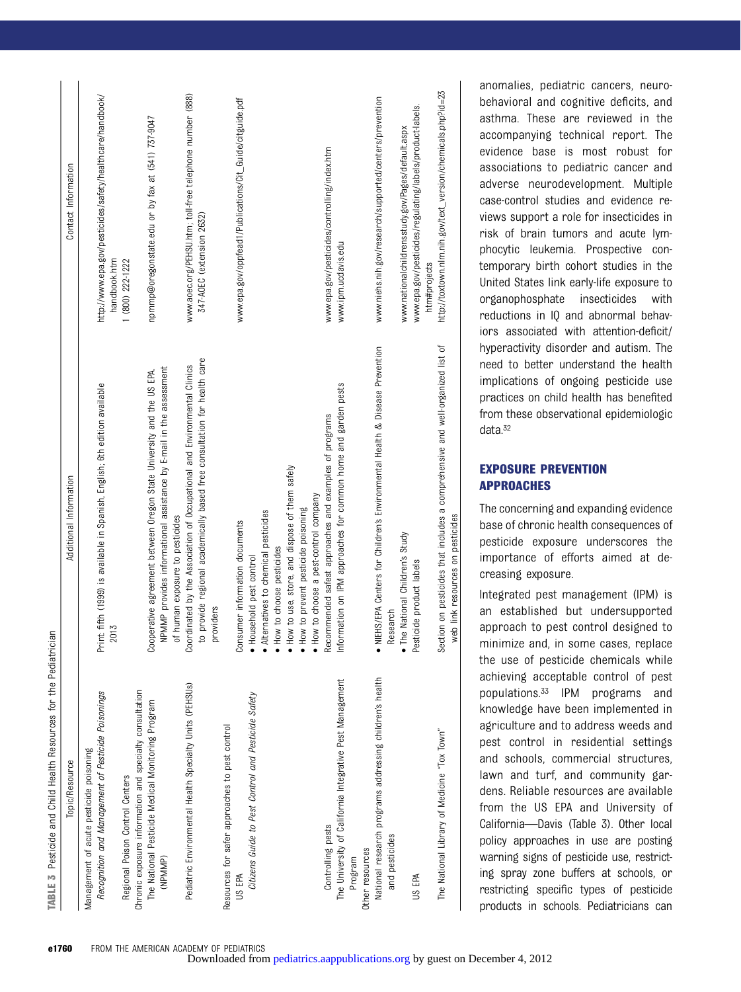| Topic/Resource                                                                                | Additional Information                                                                                                                                                                                                   | Contact Information                                                                   |
|-----------------------------------------------------------------------------------------------|--------------------------------------------------------------------------------------------------------------------------------------------------------------------------------------------------------------------------|---------------------------------------------------------------------------------------|
| Recognition and Management of Pesticide Poisonings<br>Management of acute pesticide poisoning | Print: fifth (1999) is available in Spanish, English; 6th edition available<br>2013                                                                                                                                      | http://www.epa.gov/pesticides/safety/healthcare/handbook/<br>handbook.htm             |
| Chronic exposure information and specialty consultation<br>Regional Poison Control Centers    |                                                                                                                                                                                                                          | 1 (800) 222-1222                                                                      |
| The National Pesticide Medical Monitoring Program<br>(NPMMP)                                  | NPMMP provides informational assistance by E-mail in the assessment<br>Cooperative agreement between Oregon State University and the US EPA.<br>of human exposure to pesticides                                          | npmmp@oregonstate.edu or by fax at (541) 737-9047                                     |
| Pediatric Environmental Health Specialty Units (PEHSUs)                                       | to provide regional academically based free consultation for health care<br>Coordinated by the Association of Occupational and Environmental Clinics<br>providers                                                        | www.aoec.org/PEHSU.htm; toll-free telephone number (888)<br>347-AOEC (extension 2632) |
| Resources for safer approaches to pest control                                                |                                                                                                                                                                                                                          |                                                                                       |
| US EPA                                                                                        | Consumer information documents                                                                                                                                                                                           | www.epa.gov/oppfead1/Publications/Cit_Guide/citguide.pdf                              |
| Citizens Guide to Pest Control and Pesticide Safety                                           | How to use, store, and dispose of them safely<br>How to choose a pest-control company<br>How to prevent pesticide poisoning<br>Alternatives to chemical pesticides<br>How to choose pesticides<br>Household pest control |                                                                                       |
| The University of California Integrative Pest Management<br>Controlling pests<br>Program      | Information on IPM approaches for common home and garden pests<br>ecommended safest approaches and examples of programs                                                                                                  | www.epa.gov/pesticides/controlling/index.htm<br>www.ipm.ucdavis.edu                   |
| National research programs addressing children's health<br>Other resources                    | NIEHS/EPA Centers for Children's Environmental Health & Disease Prevention                                                                                                                                               | www.niehs.nih.gov/research/supported/centers/prevention                               |
| and pesticides                                                                                | The National Children's Study<br>Research                                                                                                                                                                                | www.nationalchildrensstudy.gov/Pages/default.aspx                                     |
| US EPA                                                                                        | esticide product labels<br>o.                                                                                                                                                                                            | www.epa.gov/pesticides/regulating/labels/product-labels.<br>htm#projects              |
| The National Library of Medicine "Tox Town"                                                   | Section on pesticides that includes a comprehensive and well-organized list of<br>web link resources on pesticides                                                                                                       | http://toxtown.nlm.nih.gov/text_version/chemicals.php?id=23                           |

anomalies, pediatric cancers, neurobehavioral and cognitive deficits, and asthma. These are reviewed in the accompanying technical report. The evidence base is most robust for associations to pediatric cancer and adverse neurodevelopment. Multiple case-control studies and evidence reviews support a role for insecticides in risk of brain tumors and acute lymphocytic leukemia. Prospective contemporary birth cohort studies in the United States link early-life exposure to organophosphate insecticides with reductions in IQ and abnormal behaviors associated with attention-deficit/ hyperactivity disorder and autism. The need to better understand the health implications of ongoing pesticide use practices on child health has benefited from these observational epidemiologic data.32

# EXPOSURE PREVENTION **APPROACHES**

The concerning and expanding evidence base of chronic health consequences of pesticide exposure underscores the importance of efforts aimed at decreasing exposure.

Integrated pest management (IPM) is an established but undersupported approach to pest control designed to minimize and, in some cases, replace the use of pesticide chemicals while achieving acceptable control of pest populations.33 IPM programs and knowledge have been implemented in agriculture and to address weeds and pest control in residential settings and schools, commercial structures, lawn and turf, and community gardens. Reliable resources are available from the US EPA and University of California—Davis (Table 3). Other local policy approaches in use are posting warning signs of pesticide use, restricting spray zone buffers at schools, or restricting specific types of pesticide products in schools. Pediatricians can

TABLE 3 Pesticide and Child Health Resources for the Pediatrician

Pesticide and Child Health Resources for the Pediatrician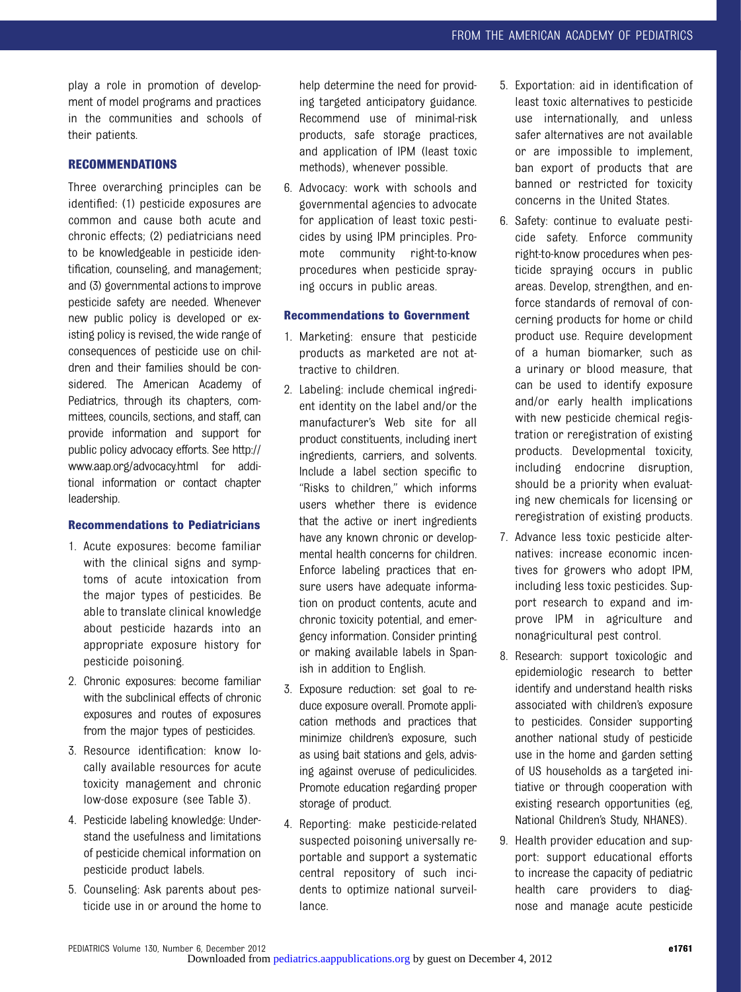play a role in promotion of development of model programs and practices in the communities and schools of their patients.

# **RECOMMENDATIONS**

Three overarching principles can be identified: (1) pesticide exposures are common and cause both acute and chronic effects; (2) pediatricians need to be knowledgeable in pesticide identification, counseling, and management; and (3) governmental actions to improve pesticide safety are needed. Whenever new public policy is developed or existing policy is revised, the wide range of consequences of pesticide use on children and their families should be considered. The American Academy of Pediatrics, through its chapters, committees, councils, sections, and staff, can provide information and support for public policy advocacy efforts. See [http://](http://www.aap.org/advocacy.html) [www.aap.org/advocacy.html](http://www.aap.org/advocacy.html) for additional information or contact chapter leadership.

# Recommendations to Pediatricians

- 1. Acute exposures: become familiar with the clinical signs and symptoms of acute intoxication from the major types of pesticides. Be able to translate clinical knowledge about pesticide hazards into an appropriate exposure history for pesticide poisoning.
- 2. Chronic exposures: become familiar with the subclinical effects of chronic exposures and routes of exposures from the major types of pesticides.
- 3. Resource identification: know locally available resources for acute toxicity management and chronic low-dose exposure (see Table 3).
- 4. Pesticide labeling knowledge: Understand the usefulness and limitations of pesticide chemical information on pesticide product labels.
- 5. Counseling: Ask parents about pesticide use in or around the home to

help determine the need for providing targeted anticipatory guidance. Recommend use of minimal-risk products, safe storage practices, and application of IPM (least toxic methods), whenever possible.

6. Advocacy: work with schools and governmental agencies to advocate for application of least toxic pesticides by using IPM principles. Promote community right-to-know procedures when pesticide spraying occurs in public areas.

# Recommendations to Government

- 1. Marketing: ensure that pesticide products as marketed are not attractive to children.
- 2. Labeling: include chemical ingredient identity on the label and/or the manufacturer's Web site for all product constituents, including inert ingredients, carriers, and solvents. Include a label section specific to "Risks to children," which informs users whether there is evidence that the active or inert ingredients have any known chronic or developmental health concerns for children. Enforce labeling practices that ensure users have adequate information on product contents, acute and chronic toxicity potential, and emergency information. Consider printing or making available labels in Spanish in addition to English.
- 3. Exposure reduction: set goal to reduce exposure overall. Promote application methods and practices that minimize children's exposure, such as using bait stations and gels, advising against overuse of pediculicides. Promote education regarding proper storage of product.
- 4. Reporting: make pesticide-related suspected poisoning universally reportable and support a systematic central repository of such incidents to optimize national surveillance.
- 5. Exportation: aid in identification of least toxic alternatives to pesticide use internationally, and unless safer alternatives are not available or are impossible to implement, ban export of products that are banned or restricted for toxicity concerns in the United States.
- 6. Safety: continue to evaluate pesticide safety. Enforce community right-to-know procedures when pesticide spraying occurs in public areas. Develop, strengthen, and enforce standards of removal of concerning products for home or child product use. Require development of a human biomarker, such as a urinary or blood measure, that can be used to identify exposure and/or early health implications with new pesticide chemical registration or reregistration of existing products. Developmental toxicity, including endocrine disruption, should be a priority when evaluating new chemicals for licensing or reregistration of existing products.
- 7. Advance less toxic pesticide alternatives: increase economic incentives for growers who adopt IPM, including less toxic pesticides. Support research to expand and improve IPM in agriculture and nonagricultural pest control.
- 8. Research: support toxicologic and epidemiologic research to better identify and understand health risks associated with children's exposure to pesticides. Consider supporting another national study of pesticide use in the home and garden setting of US households as a targeted initiative or through cooperation with existing research opportunities (eg, National Children's Study, NHANES).
- 9. Health provider education and support: support educational efforts to increase the capacity of pediatric health care providers to diagnose and manage acute pesticide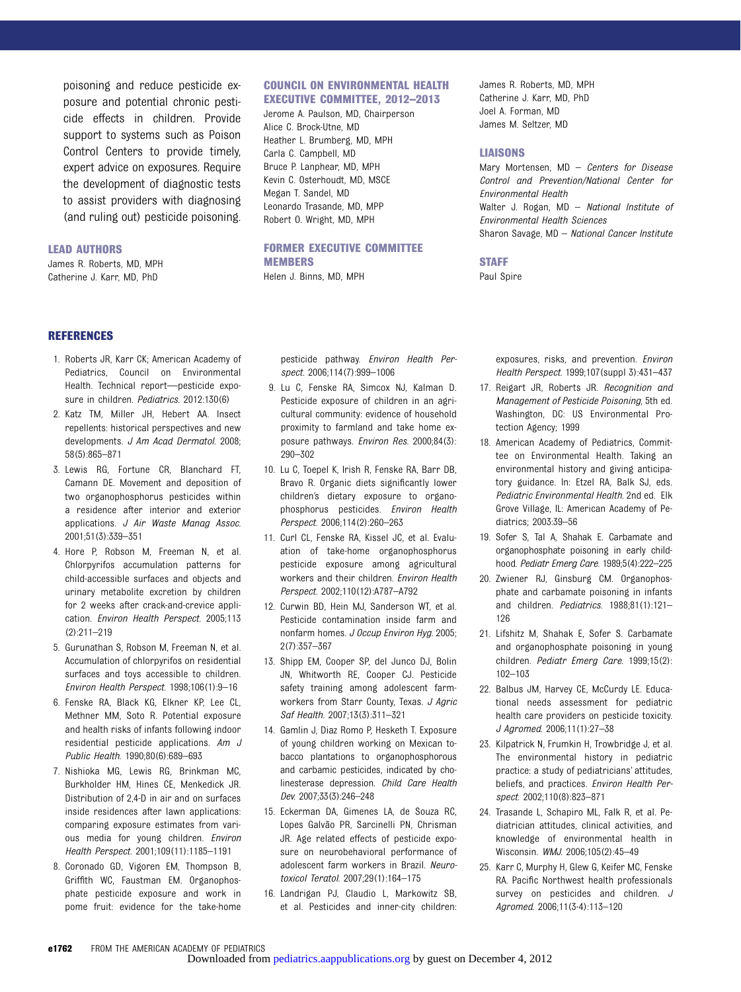poisoning and reduce pesticide exposure and potential chronic pesticide effects in children. Provide support to systems such as Poison Control Centers to provide timely, expert advice on exposures. Require the development of diagnostic tests to assist providers with diagnosing (and ruling out) pesticide poisoning.

#### LEAD AUTHORS

James R. Roberts, MD, MPH Catherine J. Karr, MD, PhD

#### REFERENCES

- 1. Roberts JR, Karr CK; American Academy of Pediatrics, Council on Environmental Health. Technical report—pesticide exposure in children. Pediatrics. 2012:130(6)
- 2. Katz TM, Miller JH, Hebert AA. Insect repellents: historical perspectives and new developments. J Am Acad Dermatol. 2008: 58(5):865–871
- 3. Lewis RG, Fortune CR, Blanchard FT, Camann DE. Movement and deposition of two organophosphorus pesticides within a residence after interior and exterior applications. J Air Waste Manag Assoc. 2001;51(3):339–351
- 4. Hore P, Robson M, Freeman N, et al. Chlorpyrifos accumulation patterns for child-accessible surfaces and objects and urinary metabolite excretion by children for 2 weeks after crack-and-crevice application. Environ Health Perspect. 2005;113 (2):211–219
- 5. Gurunathan S, Robson M, Freeman N, et al. Accumulation of chlorpyrifos on residential surfaces and toys accessible to children. Environ Health Perspect. 1998;106(1):9–16
- 6. Fenske RA, Black KG, Elkner KP, Lee CL, Methner MM, Soto R. Potential exposure and health risks of infants following indoor residential pesticide applications. Am J Public Health. 1990;80(6):689–693
- 7. Nishioka MG, Lewis RG, Brinkman MC, Burkholder HM, Hines CE, Menkedick JR. Distribution of 2,4-D in air and on surfaces inside residences after lawn applications: comparing exposure estimates from various media for young children. Environ Health Perspect. 2001;109(11):1185–1191
- 8. Coronado GD, Vigoren EM, Thompson B, Griffith WC, Faustman EM. Organophosphate pesticide exposure and work in pome fruit: evidence for the take-home

# COUNCIL ON ENVIRONMENTAL HEALTH

EXECUTIVE COMMITTEE, 2012–2013 Jerome A. Paulson, MD, Chairperson Alice C. Brock-Utne, MD Heather L. Brumberg, MD, MPH Carla C. Campbell, MD Bruce P. Lanphear, MD, MPH Kevin C. Osterhoudt, MD, MSCE Megan T. Sandel, MD Leonardo Trasande, MD, MPP Robert O. Wright, MD, MPH

## FORMER EXECUTIVE COMMITTEE MEMBERS

Helen J. Binns, MD, MPH

James R. Roberts, MD, MPH Catherine J. Karr, MD, PhD Joel A. Forman, MD James M. Seltzer, MD

#### LIAISONS

Mary Mortensen,  $MD - Centers$  for Disease Control and Prevention/National Center for Environmental Health Walter J. Rogan, MD - National Institute of Environmental Health Sciences Sharon Savage, MD – National Cancer Institute

#### **STAFF**

Paul Spire

pesticide pathway. Environ Health Perspect. 2006;114(7):999–1006

- 9. Lu C, Fenske RA, Simcox NJ, Kalman D. Pesticide exposure of children in an agricultural community: evidence of household proximity to farmland and take home exposure pathways. Environ Res. 2000;84(3): 290–302
- 10. Lu C, Toepel K, Irish R, Fenske RA, Barr DB, Bravo R. Organic diets significantly lower children's dietary exposure to organophosphorus pesticides. Environ Health Perspect. 2006;114(2):260–263
- 11. Curl CL, Fenske RA, Kissel JC, et al. Evaluation of take-home organophosphorus pesticide exposure among agricultural workers and their children. Environ Health Perspect. 2002;110(12):A787–A792
- 12. Curwin BD, Hein MJ, Sanderson WT, et al. Pesticide contamination inside farm and nonfarm homes. J Occup Environ Hyg. 2005; 2(7):357–367
- 13. Shipp EM, Cooper SP, del Junco DJ, Bolin JN, Whitworth RE, Cooper CJ. Pesticide safety training among adolescent farmworkers from Starr County, Texas. J Agric Saf Health. 2007;13(3):311–321
- 14. Gamlin J, Diaz Romo P, Hesketh T. Exposure of young children working on Mexican tobacco plantations to organophosphorous and carbamic pesticides, indicated by cholinesterase depression. Child Care Health Dev. 2007;33(3):246–248
- 15. Eckerman DA, Gimenes LA, de Souza RC, Lopes Galvão PR, Sarcinelli PN, Chrisman JR. Age related effects of pesticide exposure on neurobehavioral performance of adolescent farm workers in Brazil. Neurotoxicol Teratol. 2007;29(1):164–175
- 16. Landrigan PJ, Claudio L, Markowitz SB, et al. Pesticides and inner-city children:

exposures, risks, and prevention. Environ Health Perspect. 1999;107(suppl 3):431–437

- 17. Reigart JR, Roberts JR. Recognition and Management of Pesticide Poisoning, 5th ed. Washington, DC: US Environmental Protection Agency; 1999
- 18. American Academy of Pediatrics, Committee on Environmental Health. Taking an environmental history and giving anticipatory guidance. In: Etzel RA, Balk SJ, eds. Pediatric Environmental Health. 2nd ed. Elk Grove Village, IL: American Academy of Pediatrics; 2003:39–56
- 19. Sofer S, Tal A, Shahak E. Carbamate and organophosphate poisoning in early childhood. Pediatr Emerg Care. 1989;5(4):222–225
- 20. Zwiener RJ, Ginsburg CM. Organophosphate and carbamate poisoning in infants and children. Pediatrics. 1988;81(1):121– 126
- 21. Lifshitz M, Shahak E, Sofer S. Carbamate and organophosphate poisoning in young children. Pediatr Emerg Care. 1999;15(2): 102–103
- 22. Balbus JM, Harvey CE, McCurdy LE. Educational needs assessment for pediatric health care providers on pesticide toxicity. J Agromed. 2006;11(1):27–38
- 23. Kilpatrick N, Frumkin H, Trowbridge J, et al. The environmental history in pediatric practice: a study of pediatricians' attitudes, beliefs, and practices. Environ Health Perspect. 2002;110(8):823–871
- 24. Trasande L, Schapiro ML, Falk R, et al. Pediatrician attitudes, clinical activities, and knowledge of environmental health in Wisconsin. WMJ. 2006;105(2):45–49
- 25. Karr C, Murphy H, Glew G, Keifer MC, Fenske RA. Pacific Northwest health professionals survey on pesticides and children. J Agromed. 2006;11(3-4):113–120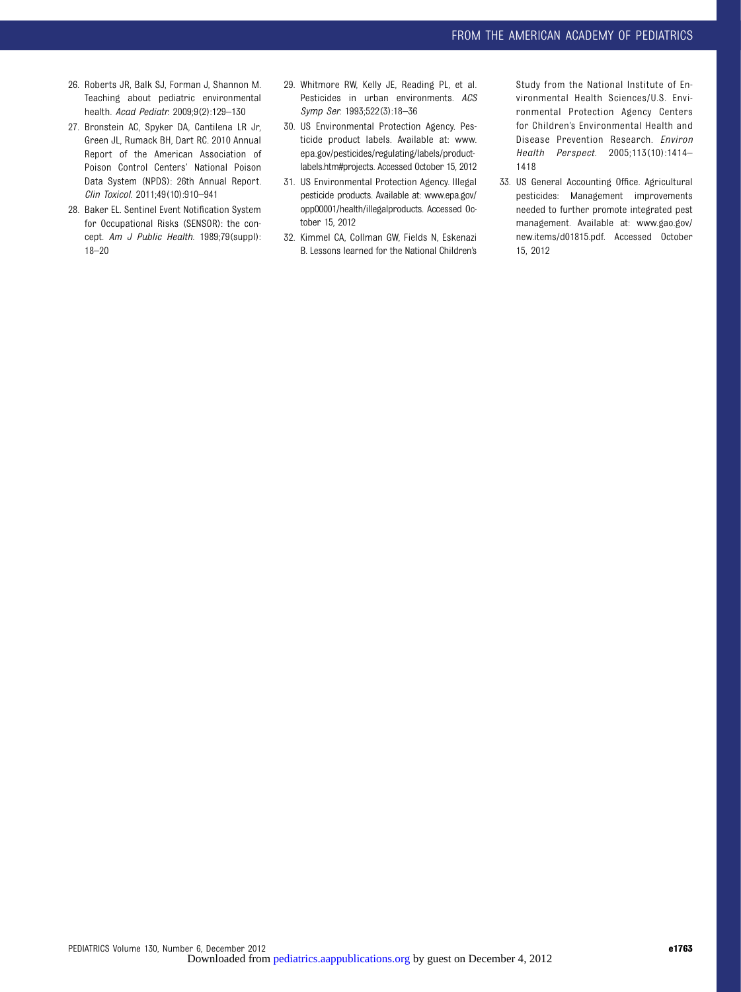- 26. Roberts JR, Balk SJ, Forman J, Shannon M. Teaching about pediatric environmental health. Acad Pediatr. 2009;9(2):129–130
- 27. Bronstein AC, Spyker DA, Cantilena LR Jr, Green JL, Rumack BH, Dart RC. 2010 Annual Report of the American Association of Poison Control Centers' National Poison Data System (NPDS): 26th Annual Report. Clin Toxicol. 2011;49(10):910–941
- 28. Baker EL. Sentinel Event Notification System for Occupational Risks (SENSOR): the concept. Am J Public Health. 1989;79(suppl): 18–20
- 29. Whitmore RW, Kelly JE, Reading PL, et al. Pesticides in urban environments. ACS Symp Ser. 1993;522(3):18–36
- 30. US Environmental Protection Agency. Pesticide product labels. Available at: [www.](www.epa.gov/pesticides/regulating/labels/product-labels.htm#projects) [epa.gov/pesticides/regulating/labels/product](www.epa.gov/pesticides/regulating/labels/product-labels.htm#projects)[labels.htm#projects.](www.epa.gov/pesticides/regulating/labels/product-labels.htm#projects) Accessed October 15, 2012
- 31. US Environmental Protection Agency. Illegal pesticide products. Available at: [www.epa.gov/](www.epa.gov/opp00001/health/illegalproducts) [opp00001/health/illegalproducts](www.epa.gov/opp00001/health/illegalproducts). Accessed October 15, 2012
- 32. Kimmel CA, Collman GW, Fields N, Eskenazi B. Lessons learned for the National Children's

Study from the National Institute of Environmental Health Sciences/U.S. Environmental Protection Agency Centers for Children's Environmental Health and Disease Prevention Research. Environ Health Perspect. 2005;113(10):1414– 1418

33. US General Accounting Office. Agricultural pesticides: Management improvements needed to further promote integrated pest management. Available at: [www.gao.gov/](www.gao.gov/new.items/d01815.pdf) [new.items/d01815.pdf.](www.gao.gov/new.items/d01815.pdf) Accessed October 15, 2012